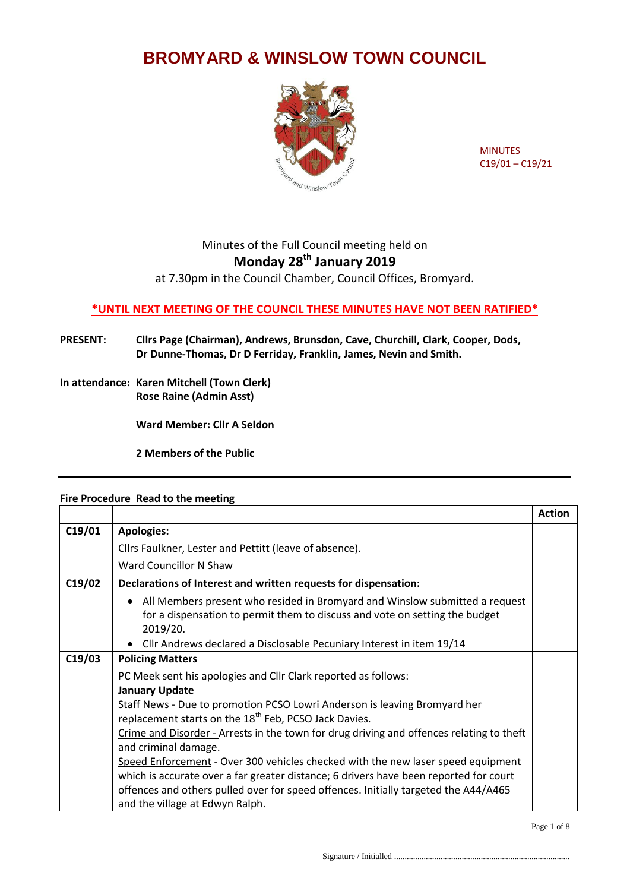## **BROMYARD & WINSLOW TOWN COUNCIL**



MINUTES C19/01 – C19/21

## Minutes of the Full Council meeting held on **Monday 28th January 2019**

at 7.30pm in the Council Chamber, Council Offices, Bromyard.

## **\*UNTIL NEXT MEETING OF THE COUNCIL THESE MINUTES HAVE NOT BEEN RATIFIED\***

**PRESENT: Cllrs Page (Chairman), Andrews, Brunsdon, Cave, Churchill, Clark, Cooper, Dods, Dr Dunne-Thomas, Dr D Ferriday, Franklin, James, Nevin and Smith.**

**In attendance: Karen Mitchell (Town Clerk) Rose Raine (Admin Asst)**

**Ward Member: Cllr A Seldon** 

**2 Members of the Public**

## **Fire Procedure Read to the meeting**

|        |                                                                                                                                                                             | <b>Action</b> |
|--------|-----------------------------------------------------------------------------------------------------------------------------------------------------------------------------|---------------|
| C19/01 | <b>Apologies:</b>                                                                                                                                                           |               |
|        | Cllrs Faulkner, Lester and Pettitt (leave of absence).                                                                                                                      |               |
|        | Ward Councillor N Shaw                                                                                                                                                      |               |
| C19/02 | Declarations of Interest and written requests for dispensation:                                                                                                             |               |
|        | All Members present who resided in Bromyard and Winslow submitted a request<br>٠<br>for a dispensation to permit them to discuss and vote on setting the budget<br>2019/20. |               |
|        | • Cllr Andrews declared a Disclosable Pecuniary Interest in item 19/14                                                                                                      |               |
| C19/03 | <b>Policing Matters</b>                                                                                                                                                     |               |
|        | PC Meek sent his apologies and Cllr Clark reported as follows:                                                                                                              |               |
|        | <b>January Update</b>                                                                                                                                                       |               |
|        | Staff News - Due to promotion PCSO Lowri Anderson is leaving Bromyard her                                                                                                   |               |
|        | replacement starts on the 18 <sup>th</sup> Feb, PCSO Jack Davies.                                                                                                           |               |
|        | Crime and Disorder - Arrests in the town for drug driving and offences relating to theft                                                                                    |               |
|        | and criminal damage.                                                                                                                                                        |               |
|        | Speed Enforcement - Over 300 vehicles checked with the new laser speed equipment                                                                                            |               |
|        | which is accurate over a far greater distance; 6 drivers have been reported for court                                                                                       |               |
|        | offences and others pulled over for speed offences. Initially targeted the A44/A465                                                                                         |               |
|        | and the village at Edwyn Ralph.                                                                                                                                             |               |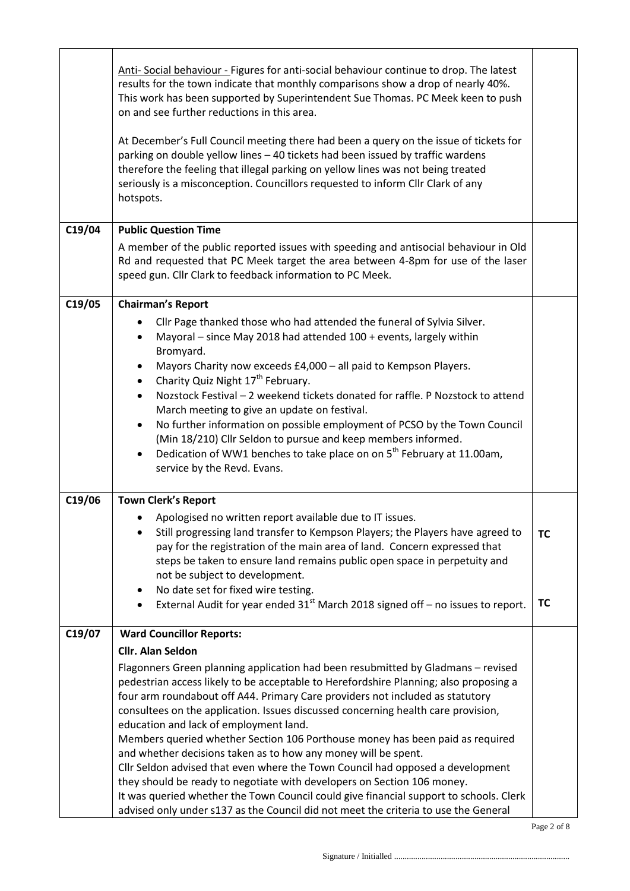| C19/04 | Anti- Social behaviour - Figures for anti-social behaviour continue to drop. The latest<br>results for the town indicate that monthly comparisons show a drop of nearly 40%.<br>This work has been supported by Superintendent Sue Thomas. PC Meek keen to push<br>on and see further reductions in this area.<br>At December's Full Council meeting there had been a query on the issue of tickets for<br>parking on double yellow lines - 40 tickets had been issued by traffic wardens<br>therefore the feeling that illegal parking on yellow lines was not being treated<br>seriously is a misconception. Councillors requested to inform Cllr Clark of any<br>hotspots.<br><b>Public Question Time</b>                                                                                                                                                                                                           |                        |
|--------|------------------------------------------------------------------------------------------------------------------------------------------------------------------------------------------------------------------------------------------------------------------------------------------------------------------------------------------------------------------------------------------------------------------------------------------------------------------------------------------------------------------------------------------------------------------------------------------------------------------------------------------------------------------------------------------------------------------------------------------------------------------------------------------------------------------------------------------------------------------------------------------------------------------------|------------------------|
|        | A member of the public reported issues with speeding and antisocial behaviour in Old<br>Rd and requested that PC Meek target the area between 4-8pm for use of the laser<br>speed gun. Cllr Clark to feedback information to PC Meek.                                                                                                                                                                                                                                                                                                                                                                                                                                                                                                                                                                                                                                                                                  |                        |
| C19/05 | <b>Chairman's Report</b><br>Cllr Page thanked those who had attended the funeral of Sylvia Silver.<br>Mayoral - since May 2018 had attended 100 + events, largely within<br>Bromyard.<br>Mayors Charity now exceeds £4,000 - all paid to Kempson Players.<br>٠<br>Charity Quiz Night 17 <sup>th</sup> February.<br>$\bullet$<br>Nozstock Festival - 2 weekend tickets donated for raffle. P Nozstock to attend<br>March meeting to give an update on festival.<br>No further information on possible employment of PCSO by the Town Council<br>$\bullet$<br>(Min 18/210) Cllr Seldon to pursue and keep members informed.<br>Dedication of WW1 benches to take place on on 5 <sup>th</sup> February at 11.00am,<br>service by the Revd. Evans.                                                                                                                                                                         |                        |
| C19/06 | <b>Town Clerk's Report</b>                                                                                                                                                                                                                                                                                                                                                                                                                                                                                                                                                                                                                                                                                                                                                                                                                                                                                             |                        |
|        | Apologised no written report available due to IT issues.<br>Still progressing land transfer to Kempson Players; the Players have agreed to<br>pay for the registration of the main area of land. Concern expressed that<br>steps be taken to ensure land remains public open space in perpetuity and<br>not be subject to development.<br>No date set for fixed wire testing.<br>$\bullet$<br>External Audit for year ended $31st$ March 2018 signed off – no issues to report.                                                                                                                                                                                                                                                                                                                                                                                                                                        | <b>TC</b><br><b>TC</b> |
| C19/07 | <b>Ward Councillor Reports:</b>                                                                                                                                                                                                                                                                                                                                                                                                                                                                                                                                                                                                                                                                                                                                                                                                                                                                                        |                        |
|        | <b>Cllr. Alan Seldon</b><br>Flagonners Green planning application had been resubmitted by Gladmans - revised<br>pedestrian access likely to be acceptable to Herefordshire Planning; also proposing a<br>four arm roundabout off A44. Primary Care providers not included as statutory<br>consultees on the application. Issues discussed concerning health care provision,<br>education and lack of employment land.<br>Members queried whether Section 106 Porthouse money has been paid as required<br>and whether decisions taken as to how any money will be spent.<br>Cllr Seldon advised that even where the Town Council had opposed a development<br>they should be ready to negotiate with developers on Section 106 money.<br>It was queried whether the Town Council could give financial support to schools. Clerk<br>advised only under s137 as the Council did not meet the criteria to use the General |                        |

l.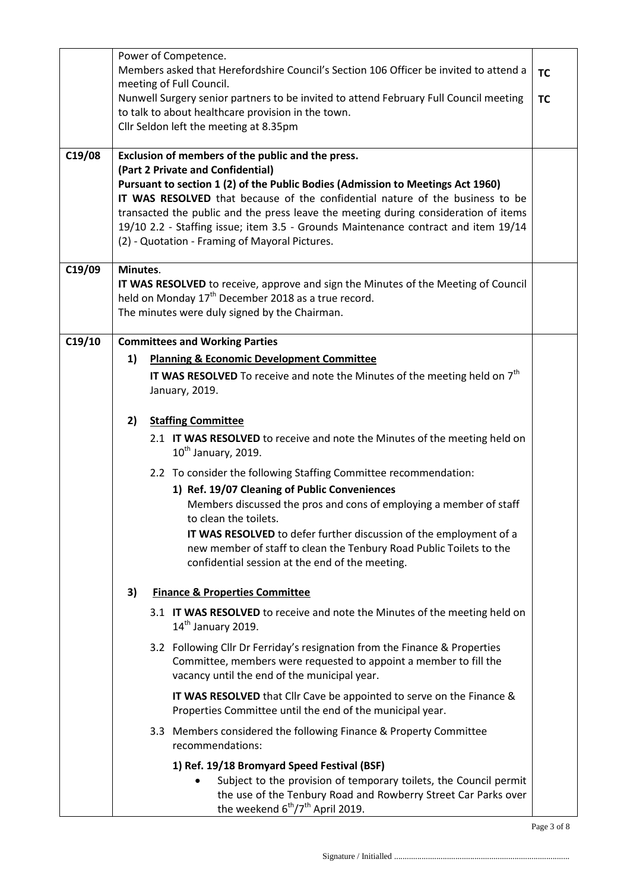|        |          | Power of Competence.                                                                                                                                                                                                                                                                                                                                                                                                                 |           |
|--------|----------|--------------------------------------------------------------------------------------------------------------------------------------------------------------------------------------------------------------------------------------------------------------------------------------------------------------------------------------------------------------------------------------------------------------------------------------|-----------|
|        |          | Members asked that Herefordshire Council's Section 106 Officer be invited to attend a                                                                                                                                                                                                                                                                                                                                                | <b>TC</b> |
|        |          | meeting of Full Council.                                                                                                                                                                                                                                                                                                                                                                                                             |           |
|        |          | Nunwell Surgery senior partners to be invited to attend February Full Council meeting                                                                                                                                                                                                                                                                                                                                                | <b>TC</b> |
|        |          | to talk to about healthcare provision in the town.                                                                                                                                                                                                                                                                                                                                                                                   |           |
|        |          | Cllr Seldon left the meeting at 8.35pm                                                                                                                                                                                                                                                                                                                                                                                               |           |
|        |          |                                                                                                                                                                                                                                                                                                                                                                                                                                      |           |
| C19/08 |          | Exclusion of members of the public and the press.                                                                                                                                                                                                                                                                                                                                                                                    |           |
|        |          | (Part 2 Private and Confidential)<br>Pursuant to section 1 (2) of the Public Bodies (Admission to Meetings Act 1960)<br>IT WAS RESOLVED that because of the confidential nature of the business to be<br>transacted the public and the press leave the meeting during consideration of items<br>19/10 2.2 - Staffing issue; item 3.5 - Grounds Maintenance contract and item 19/14<br>(2) - Quotation - Framing of Mayoral Pictures. |           |
| C19/09 | Minutes. |                                                                                                                                                                                                                                                                                                                                                                                                                                      |           |
|        |          | IT WAS RESOLVED to receive, approve and sign the Minutes of the Meeting of Council                                                                                                                                                                                                                                                                                                                                                   |           |
|        |          | held on Monday 17 <sup>th</sup> December 2018 as a true record.                                                                                                                                                                                                                                                                                                                                                                      |           |
|        |          | The minutes were duly signed by the Chairman.                                                                                                                                                                                                                                                                                                                                                                                        |           |
| C19/10 |          | <b>Committees and Working Parties</b>                                                                                                                                                                                                                                                                                                                                                                                                |           |
|        | 1)       | <b>Planning &amp; Economic Development Committee</b>                                                                                                                                                                                                                                                                                                                                                                                 |           |
|        |          | IT WAS RESOLVED To receive and note the Minutes of the meeting held on $7th$                                                                                                                                                                                                                                                                                                                                                         |           |
|        |          | January, 2019.                                                                                                                                                                                                                                                                                                                                                                                                                       |           |
|        |          |                                                                                                                                                                                                                                                                                                                                                                                                                                      |           |
|        | 2)       | <b>Staffing Committee</b>                                                                                                                                                                                                                                                                                                                                                                                                            |           |
|        |          |                                                                                                                                                                                                                                                                                                                                                                                                                                      |           |
|        |          | 2.1 IT WAS RESOLVED to receive and note the Minutes of the meeting held on<br>$10^{th}$ January, 2019.                                                                                                                                                                                                                                                                                                                               |           |
|        |          | 2.2 To consider the following Staffing Committee recommendation:                                                                                                                                                                                                                                                                                                                                                                     |           |
|        |          | 1) Ref. 19/07 Cleaning of Public Conveniences                                                                                                                                                                                                                                                                                                                                                                                        |           |
|        |          | Members discussed the pros and cons of employing a member of staff                                                                                                                                                                                                                                                                                                                                                                   |           |
|        |          | to clean the toilets.                                                                                                                                                                                                                                                                                                                                                                                                                |           |
|        |          | IT WAS RESOLVED to defer further discussion of the employment of a                                                                                                                                                                                                                                                                                                                                                                   |           |
|        |          | new member of staff to clean the Tenbury Road Public Toilets to the                                                                                                                                                                                                                                                                                                                                                                  |           |
|        |          | confidential session at the end of the meeting.                                                                                                                                                                                                                                                                                                                                                                                      |           |
|        | 3)       | <b>Finance &amp; Properties Committee</b>                                                                                                                                                                                                                                                                                                                                                                                            |           |
|        |          | 3.1 IT WAS RESOLVED to receive and note the Minutes of the meeting held on                                                                                                                                                                                                                                                                                                                                                           |           |
|        |          | $14th$ January 2019.                                                                                                                                                                                                                                                                                                                                                                                                                 |           |
|        |          | 3.2 Following Cllr Dr Ferriday's resignation from the Finance & Properties                                                                                                                                                                                                                                                                                                                                                           |           |
|        |          | Committee, members were requested to appoint a member to fill the                                                                                                                                                                                                                                                                                                                                                                    |           |
|        |          | vacancy until the end of the municipal year.                                                                                                                                                                                                                                                                                                                                                                                         |           |
|        |          | IT WAS RESOLVED that Cllr Cave be appointed to serve on the Finance &                                                                                                                                                                                                                                                                                                                                                                |           |
|        |          | Properties Committee until the end of the municipal year.                                                                                                                                                                                                                                                                                                                                                                            |           |
|        |          | 3.3 Members considered the following Finance & Property Committee                                                                                                                                                                                                                                                                                                                                                                    |           |
|        |          | recommendations:                                                                                                                                                                                                                                                                                                                                                                                                                     |           |
|        |          | 1) Ref. 19/18 Bromyard Speed Festival (BSF)                                                                                                                                                                                                                                                                                                                                                                                          |           |
|        |          | Subject to the provision of temporary toilets, the Council permit                                                                                                                                                                                                                                                                                                                                                                    |           |
|        |          | the use of the Tenbury Road and Rowberry Street Car Parks over                                                                                                                                                                                                                                                                                                                                                                       |           |
|        |          | the weekend 6 <sup>th</sup> /7 <sup>th</sup> April 2019.                                                                                                                                                                                                                                                                                                                                                                             |           |

Page 3 of 8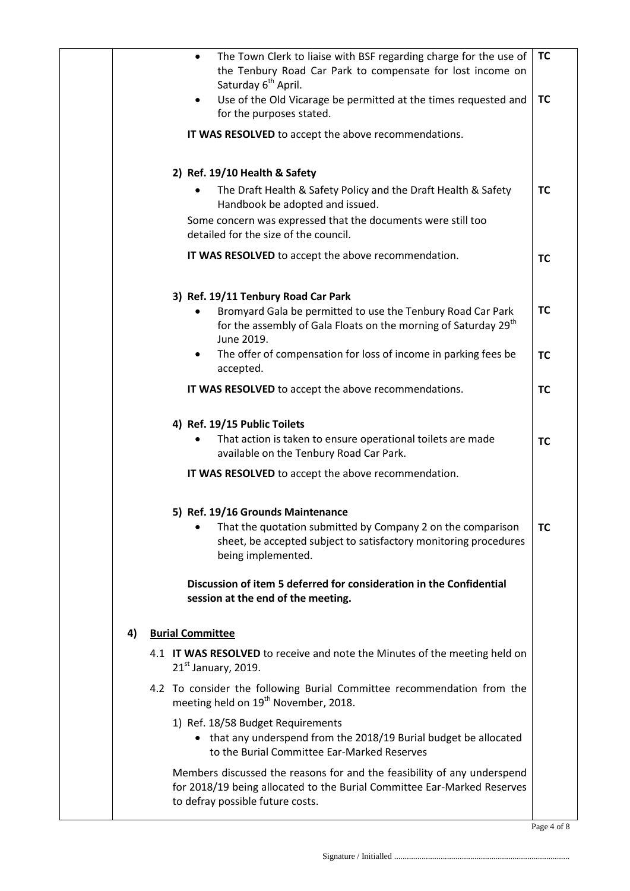|    | The Town Clerk to liaise with BSF regarding charge for the use of<br>$\bullet$<br>the Tenbury Road Car Park to compensate for lost income on<br>Saturday 6 <sup>th</sup> April.<br>Use of the Old Vicarage be permitted at the times requested and<br>for the purposes stated. | <b>TC</b><br><b>TC</b> |
|----|--------------------------------------------------------------------------------------------------------------------------------------------------------------------------------------------------------------------------------------------------------------------------------|------------------------|
|    | IT WAS RESOLVED to accept the above recommendations.                                                                                                                                                                                                                           |                        |
|    | 2) Ref. 19/10 Health & Safety                                                                                                                                                                                                                                                  |                        |
|    | The Draft Health & Safety Policy and the Draft Health & Safety<br>Handbook be adopted and issued.                                                                                                                                                                              | <b>TC</b>              |
|    | Some concern was expressed that the documents were still too<br>detailed for the size of the council.                                                                                                                                                                          |                        |
|    | IT WAS RESOLVED to accept the above recommendation.                                                                                                                                                                                                                            | <b>TC</b>              |
|    | 3) Ref. 19/11 Tenbury Road Car Park                                                                                                                                                                                                                                            |                        |
|    | Bromyard Gala be permitted to use the Tenbury Road Car Park<br>for the assembly of Gala Floats on the morning of Saturday 29 <sup>th</sup><br>June 2019.                                                                                                                       | ТC                     |
|    | The offer of compensation for loss of income in parking fees be<br>accepted.                                                                                                                                                                                                   | <b>TC</b>              |
|    | IT WAS RESOLVED to accept the above recommendations.                                                                                                                                                                                                                           | <b>TC</b>              |
|    | 4) Ref. 19/15 Public Toilets<br>That action is taken to ensure operational toilets are made<br>available on the Tenbury Road Car Park.                                                                                                                                         | <b>TC</b>              |
|    | IT WAS RESOLVED to accept the above recommendation.                                                                                                                                                                                                                            |                        |
|    | 5) Ref. 19/16 Grounds Maintenance<br>That the quotation submitted by Company 2 on the comparison<br>sheet, be accepted subject to satisfactory monitoring procedures<br>being implemented.                                                                                     | ТC                     |
|    | Discussion of item 5 deferred for consideration in the Confidential<br>session at the end of the meeting.                                                                                                                                                                      |                        |
| 4) | <b>Burial Committee</b>                                                                                                                                                                                                                                                        |                        |
|    | 4.1 IT WAS RESOLVED to receive and note the Minutes of the meeting held on<br>$21st$ January, 2019.                                                                                                                                                                            |                        |
|    | 4.2 To consider the following Burial Committee recommendation from the<br>meeting held on 19 <sup>th</sup> November, 2018.                                                                                                                                                     |                        |
|    | 1) Ref. 18/58 Budget Requirements<br>• that any underspend from the 2018/19 Burial budget be allocated<br>to the Burial Committee Ear-Marked Reserves                                                                                                                          |                        |
|    | Members discussed the reasons for and the feasibility of any underspend<br>for 2018/19 being allocated to the Burial Committee Ear-Marked Reserves<br>to defray possible future costs.                                                                                         |                        |

Page 4 of 8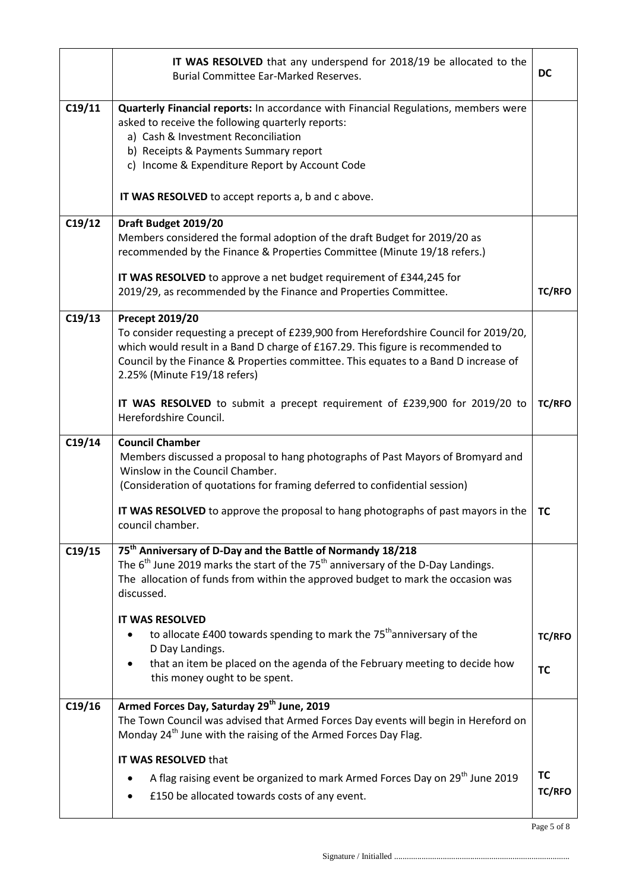|        | IT WAS RESOLVED that any underspend for 2018/19 be allocated to the<br><b>DC</b><br><b>Burial Committee Ear-Marked Reserves.</b>                                                                                                                                                                                                  |                            |  |  |
|--------|-----------------------------------------------------------------------------------------------------------------------------------------------------------------------------------------------------------------------------------------------------------------------------------------------------------------------------------|----------------------------|--|--|
| C19/11 | Quarterly Financial reports: In accordance with Financial Regulations, members were<br>asked to receive the following quarterly reports:<br>a) Cash & Investment Reconciliation<br>b) Receipts & Payments Summary report<br>c) Income & Expenditure Report by Account Code<br>IT WAS RESOLVED to accept reports a, b and c above. |                            |  |  |
|        |                                                                                                                                                                                                                                                                                                                                   |                            |  |  |
| C19/12 | Draft Budget 2019/20<br>Members considered the formal adoption of the draft Budget for 2019/20 as<br>recommended by the Finance & Properties Committee (Minute 19/18 refers.)                                                                                                                                                     |                            |  |  |
|        | IT WAS RESOLVED to approve a net budget requirement of £344,245 for<br>2019/29, as recommended by the Finance and Properties Committee.                                                                                                                                                                                           | <b>TC/RFO</b>              |  |  |
| C19/13 | <b>Precept 2019/20</b><br>To consider requesting a precept of £239,900 from Herefordshire Council for 2019/20,<br>which would result in a Band D charge of £167.29. This figure is recommended to<br>Council by the Finance & Properties committee. This equates to a Band D increase of<br>2.25% (Minute F19/18 refers)          |                            |  |  |
|        | IT WAS RESOLVED to submit a precept requirement of £239,900 for 2019/20 to<br>Herefordshire Council.                                                                                                                                                                                                                              | <b>TC/RFO</b>              |  |  |
| C19/14 | <b>Council Chamber</b><br>Members discussed a proposal to hang photographs of Past Mayors of Bromyard and<br>Winslow in the Council Chamber.<br>(Consideration of quotations for framing deferred to confidential session)                                                                                                        |                            |  |  |
|        | IT WAS RESOLVED to approve the proposal to hang photographs of past mayors in the<br>council chamber.                                                                                                                                                                                                                             | <b>TC</b>                  |  |  |
| C19/15 | 75 <sup>th</sup> Anniversary of D-Day and the Battle of Normandy 18/218<br>The $6th$ June 2019 marks the start of the 75 <sup>th</sup> anniversary of the D-Day Landings.<br>The allocation of funds from within the approved budget to mark the occasion was<br>discussed.                                                       |                            |  |  |
|        | <b>IT WAS RESOLVED</b><br>to allocate £400 towards spending to mark the 75 <sup>th</sup> anniversary of the<br>D Day Landings.<br>that an item be placed on the agenda of the February meeting to decide how<br>this money ought to be spent.                                                                                     | <b>TC/RFO</b><br><b>TC</b> |  |  |
|        |                                                                                                                                                                                                                                                                                                                                   |                            |  |  |
| C19/16 | Armed Forces Day, Saturday 29th June, 2019<br>The Town Council was advised that Armed Forces Day events will begin in Hereford on<br>Monday 24 <sup>th</sup> June with the raising of the Armed Forces Day Flag.                                                                                                                  |                            |  |  |
|        | IT WAS RESOLVED that                                                                                                                                                                                                                                                                                                              |                            |  |  |
|        | A flag raising event be organized to mark Armed Forces Day on 29 <sup>th</sup> June 2019<br>£150 be allocated towards costs of any event.                                                                                                                                                                                         | <b>TC</b><br><b>TC/RFO</b> |  |  |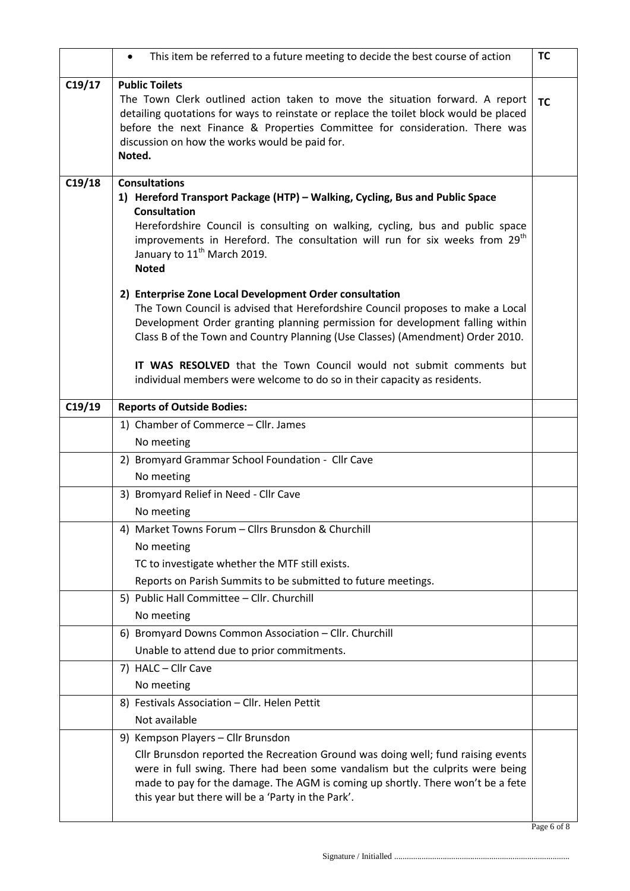|        | This item be referred to a future meeting to decide the best course of action<br>٠                                                                                                                                                                                                                                                                                                                                                                               | <b>TC</b> |
|--------|------------------------------------------------------------------------------------------------------------------------------------------------------------------------------------------------------------------------------------------------------------------------------------------------------------------------------------------------------------------------------------------------------------------------------------------------------------------|-----------|
| C19/17 | <b>Public Toilets</b><br>The Town Clerk outlined action taken to move the situation forward. A report<br>detailing quotations for ways to reinstate or replace the toilet block would be placed<br>before the next Finance & Properties Committee for consideration. There was<br>discussion on how the works would be paid for.<br>Noted.                                                                                                                       | <b>TC</b> |
| C19/18 | <b>Consultations</b><br>1) Hereford Transport Package (HTP) – Walking, Cycling, Bus and Public Space<br><b>Consultation</b><br>Herefordshire Council is consulting on walking, cycling, bus and public space<br>improvements in Hereford. The consultation will run for six weeks from 29 <sup>th</sup><br>January to 11 <sup>th</sup> March 2019.<br><b>Noted</b>                                                                                               |           |
|        | 2) Enterprise Zone Local Development Order consultation<br>The Town Council is advised that Herefordshire Council proposes to make a Local<br>Development Order granting planning permission for development falling within<br>Class B of the Town and Country Planning (Use Classes) (Amendment) Order 2010.<br>IT WAS RESOLVED that the Town Council would not submit comments but<br>individual members were welcome to do so in their capacity as residents. |           |
| C19/19 | <b>Reports of Outside Bodies:</b>                                                                                                                                                                                                                                                                                                                                                                                                                                |           |
|        | 1) Chamber of Commerce - Cllr. James                                                                                                                                                                                                                                                                                                                                                                                                                             |           |
|        | No meeting                                                                                                                                                                                                                                                                                                                                                                                                                                                       |           |
|        | 2) Bromyard Grammar School Foundation - Cllr Cave                                                                                                                                                                                                                                                                                                                                                                                                                |           |
|        | No meeting                                                                                                                                                                                                                                                                                                                                                                                                                                                       |           |
|        | 3) Bromyard Relief in Need - Cllr Cave                                                                                                                                                                                                                                                                                                                                                                                                                           |           |
|        | No meeting                                                                                                                                                                                                                                                                                                                                                                                                                                                       |           |
|        | 4) Market Towns Forum - Cllrs Brunsdon & Churchill                                                                                                                                                                                                                                                                                                                                                                                                               |           |
|        | No meeting                                                                                                                                                                                                                                                                                                                                                                                                                                                       |           |
|        | TC to investigate whether the MTF still exists.                                                                                                                                                                                                                                                                                                                                                                                                                  |           |
|        | Reports on Parish Summits to be submitted to future meetings.                                                                                                                                                                                                                                                                                                                                                                                                    |           |
|        | 5) Public Hall Committee - Cllr. Churchill<br>No meeting                                                                                                                                                                                                                                                                                                                                                                                                         |           |
|        | 6) Bromyard Downs Common Association - Cllr. Churchill                                                                                                                                                                                                                                                                                                                                                                                                           |           |
|        | Unable to attend due to prior commitments.                                                                                                                                                                                                                                                                                                                                                                                                                       |           |
|        | 7) HALC - Cllr Cave                                                                                                                                                                                                                                                                                                                                                                                                                                              |           |
|        | No meeting                                                                                                                                                                                                                                                                                                                                                                                                                                                       |           |
|        | 8) Festivals Association - Cllr. Helen Pettit                                                                                                                                                                                                                                                                                                                                                                                                                    |           |
|        | Not available                                                                                                                                                                                                                                                                                                                                                                                                                                                    |           |
|        | 9) Kempson Players - Cllr Brunsdon                                                                                                                                                                                                                                                                                                                                                                                                                               |           |
|        | Cllr Brunsdon reported the Recreation Ground was doing well; fund raising events<br>were in full swing. There had been some vandalism but the culprits were being<br>made to pay for the damage. The AGM is coming up shortly. There won't be a fete<br>this year but there will be a 'Party in the Park'.                                                                                                                                                       |           |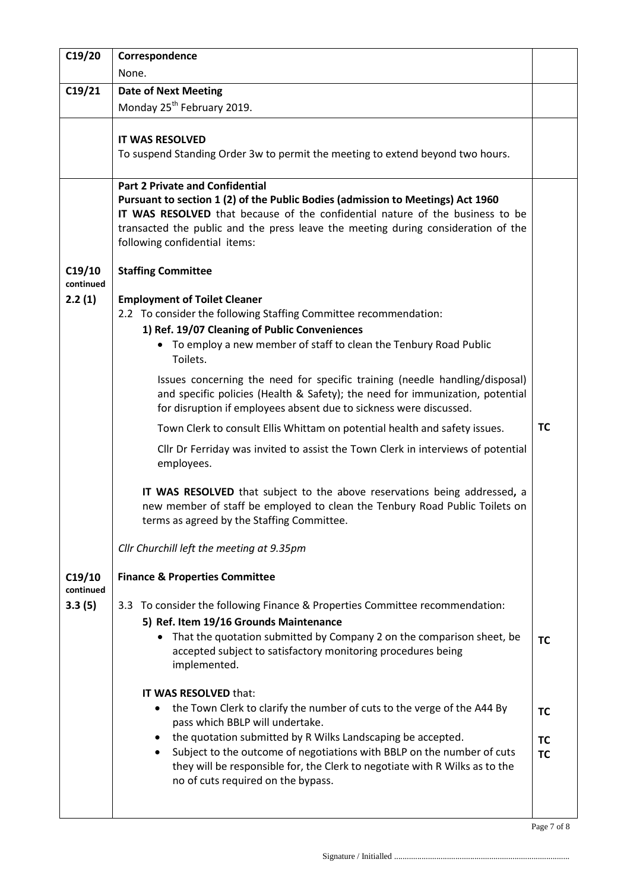| C19/20              | Correspondence                                                                                                                                                                                                                                                                                                                                                                                         |                                     |
|---------------------|--------------------------------------------------------------------------------------------------------------------------------------------------------------------------------------------------------------------------------------------------------------------------------------------------------------------------------------------------------------------------------------------------------|-------------------------------------|
|                     | None.                                                                                                                                                                                                                                                                                                                                                                                                  |                                     |
| C19/21              | <b>Date of Next Meeting</b>                                                                                                                                                                                                                                                                                                                                                                            |                                     |
|                     | Monday 25 <sup>th</sup> February 2019.                                                                                                                                                                                                                                                                                                                                                                 |                                     |
|                     | <b>IT WAS RESOLVED</b><br>To suspend Standing Order 3w to permit the meeting to extend beyond two hours.                                                                                                                                                                                                                                                                                               |                                     |
|                     | <b>Part 2 Private and Confidential</b><br>Pursuant to section 1 (2) of the Public Bodies (admission to Meetings) Act 1960<br>IT WAS RESOLVED that because of the confidential nature of the business to be<br>transacted the public and the press leave the meeting during consideration of the<br>following confidential items:                                                                       |                                     |
| C19/10<br>continued | <b>Staffing Committee</b>                                                                                                                                                                                                                                                                                                                                                                              |                                     |
| 2.2(1)              | <b>Employment of Toilet Cleaner</b><br>2.2 To consider the following Staffing Committee recommendation:<br>1) Ref. 19/07 Cleaning of Public Conveniences<br>To employ a new member of staff to clean the Tenbury Road Public<br>$\bullet$<br>Toilets.                                                                                                                                                  |                                     |
|                     | Issues concerning the need for specific training (needle handling/disposal)<br>and specific policies (Health & Safety); the need for immunization, potential<br>for disruption if employees absent due to sickness were discussed.                                                                                                                                                                     |                                     |
|                     | Town Clerk to consult Ellis Whittam on potential health and safety issues.                                                                                                                                                                                                                                                                                                                             | <b>TC</b>                           |
|                     | Cllr Dr Ferriday was invited to assist the Town Clerk in interviews of potential<br>employees.                                                                                                                                                                                                                                                                                                         |                                     |
|                     | IT WAS RESOLVED that subject to the above reservations being addressed, a<br>new member of staff be employed to clean the Tenbury Road Public Toilets on<br>terms as agreed by the Staffing Committee.                                                                                                                                                                                                 |                                     |
|                     | Cllr Churchill left the meeting at 9.35pm                                                                                                                                                                                                                                                                                                                                                              |                                     |
| C19/10<br>continued | <b>Finance &amp; Properties Committee</b>                                                                                                                                                                                                                                                                                                                                                              |                                     |
| 3.3(5)              | 3.3 To consider the following Finance & Properties Committee recommendation:<br>5) Ref. Item 19/16 Grounds Maintenance<br>That the quotation submitted by Company 2 on the comparison sheet, be<br>$\bullet$<br>accepted subject to satisfactory monitoring procedures being<br>implemented.                                                                                                           | <b>TC</b>                           |
|                     | IT WAS RESOLVED that:<br>the Town Clerk to clarify the number of cuts to the verge of the A44 By<br>pass which BBLP will undertake.<br>the quotation submitted by R Wilks Landscaping be accepted.<br>Subject to the outcome of negotiations with BBLP on the number of cuts<br>٠<br>they will be responsible for, the Clerk to negotiate with R Wilks as to the<br>no of cuts required on the bypass. | <b>TC</b><br><b>TC</b><br><b>TC</b> |